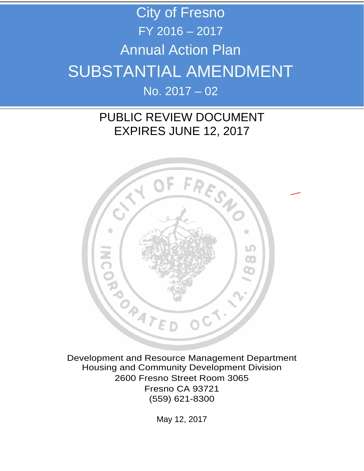## City of Fresno FY 2016 – 2017 Annual Action Plan SUBSTANTIAL AMENDMENT No. 2017 – 02

## PUBLIC REVIEW DOCUMENT EXPIRES JUNE 12, 2017



Development and Resource Management Department Housing and Community Development Division 2600 Fresno Street Room 3065 Fresno CA 93721 (559) 621-8300

May 12, 2017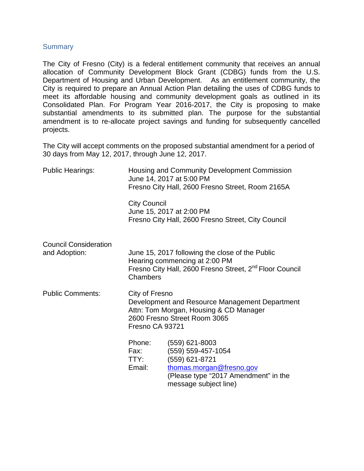## **Summary**

The City of Fresno (City) is a federal entitlement community that receives an annual allocation of Community Development Block Grant (CDBG) funds from the U.S. Department of Housing and Urban Development. As an entitlement community, the City is required to prepare an Annual Action Plan detailing the uses of CDBG funds to meet its affordable housing and community development goals as outlined in its Consolidated Plan. For Program Year 2016-2017, the City is proposing to make substantial amendments to its submitted plan. The purpose for the substantial amendment is to re-allocate project savings and funding for subsequently cancelled projects.

The City will accept comments on the proposed substantial amendment for a period of 30 days from May 12, 2017, through June 12, 2017.

| <b>Public Hearings:</b>                       | Housing and Community Development Commission<br>June 14, 2017 at 5:00 PM<br>Fresno City Hall, 2600 Fresno Street, Room 2165A |                                                                                                                                                         |  |
|-----------------------------------------------|------------------------------------------------------------------------------------------------------------------------------|---------------------------------------------------------------------------------------------------------------------------------------------------------|--|
|                                               | <b>City Council</b>                                                                                                          | June 15, 2017 at 2:00 PM<br>Fresno City Hall, 2600 Fresno Street, City Council                                                                          |  |
| <b>Council Consideration</b><br>and Adoption: | Chambers                                                                                                                     | June 15, 2017 following the close of the Public<br>Hearing commencing at 2:00 PM<br>Fresno City Hall, 2600 Fresno Street, 2 <sup>nd</sup> Floor Council |  |
| <b>Public Comments:</b>                       | City of Fresno<br>Fresno CA 93721                                                                                            | Development and Resource Management Department<br>Attn: Tom Morgan, Housing & CD Manager<br>2600 Fresno Street Room 3065                                |  |
|                                               | Phone:<br>Fax:<br>TTY:<br>Email:                                                                                             | $(559)$ 621-8003<br>(559) 559-457-1054<br>(559) 621-8721<br>thomas.morgan@fresno.gov<br>(Please type "2017 Amendment" in the<br>message subject line)   |  |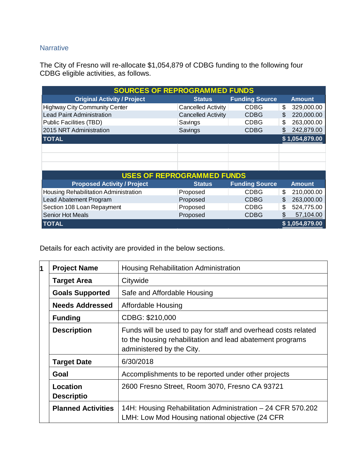## **Narrative**

The City of Fresno will re-allocate \$1,054,879 of CDBG funding to the following four CDBG eligible activities, as follows.

| <b>SOURCES OF REPROGRAMMED FUNDS</b>  |                           |                       |    |                |
|---------------------------------------|---------------------------|-----------------------|----|----------------|
| <b>Original Activity / Project</b>    | <b>Status</b>             | <b>Funding Source</b> |    | <b>Amount</b>  |
| <b>Highway City Community Center</b>  | <b>Cancelled Activity</b> | <b>CDBG</b>           | \$ | 329,000.00     |
| <b>Lead Paint Administration</b>      | <b>Cancelled Activity</b> | <b>CDBG</b>           | S  | 220,000.00     |
| Public Facilities (TBD)               | Savings                   | <b>CDBG</b>           | S  | 263,000.00     |
| 2015 NRT Administration               | Savings                   | <b>CDBG</b>           |    | 242,879.00     |
| <b>TOTAL</b>                          |                           |                       |    | \$1,054,879.00 |
|                                       |                           |                       |    |                |
|                                       |                           |                       |    |                |
|                                       |                           |                       |    |                |
| <b>USES OF REPROGRAMMED FUNDS</b>     |                           |                       |    |                |
| <b>Proposed Activity / Project</b>    | <b>Status</b>             | <b>Funding Source</b> |    | <b>Amount</b>  |
| Housing Rehabilitation Administration | Proposed                  | <b>CDBG</b>           | \$ | 210,000.00     |
| Lead Abatement Program                | Proposed                  | <b>CDBG</b>           | S  | 263,000.00     |
| Section 108 Loan Repayment            | Proposed                  | CDBG                  | \$ | 524,775.00     |
| <b>Senior Hot Meals</b>               | Proposed                  | <b>CDBG</b>           | \$ | 57,104.00      |
| <b>TOTAL</b>                          |                           |                       |    | \$1,054,879.00 |

Details for each activity are provided in the below sections.

| И    | <b>Project Name</b>           | <b>Housing Rehabilitation Administration</b>                                                                                                             |  |
|------|-------------------------------|----------------------------------------------------------------------------------------------------------------------------------------------------------|--|
|      | <b>Target Area</b>            | Citywide                                                                                                                                                 |  |
|      | <b>Goals Supported</b>        | Safe and Affordable Housing                                                                                                                              |  |
|      | <b>Needs Addressed</b>        | Affordable Housing                                                                                                                                       |  |
|      | <b>Funding</b>                | CDBG: \$210,000                                                                                                                                          |  |
|      | <b>Description</b>            | Funds will be used to pay for staff and overhead costs related<br>to the housing rehabilitation and lead abatement programs<br>administered by the City. |  |
|      | <b>Target Date</b>            | 6/30/2018                                                                                                                                                |  |
| Goal |                               | Accomplishments to be reported under other projects                                                                                                      |  |
|      | Location<br><b>Descriptio</b> | 2600 Fresno Street, Room 3070, Fresno CA 93721                                                                                                           |  |
|      | <b>Planned Activities</b>     | 14H: Housing Rehabilitation Administration - 24 CFR 570.202<br>LMH: Low Mod Housing national objective (24 CFR                                           |  |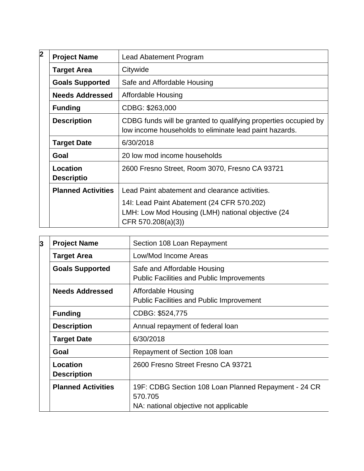| 2 | <b>Project Name</b>           | Lead Abatement Program                                                                                                    |
|---|-------------------------------|---------------------------------------------------------------------------------------------------------------------------|
|   | <b>Target Area</b>            | Citywide                                                                                                                  |
|   | <b>Goals Supported</b>        | Safe and Affordable Housing                                                                                               |
|   | <b>Needs Addressed</b>        | Affordable Housing                                                                                                        |
|   | <b>Funding</b>                | CDBG: \$263,000                                                                                                           |
|   | <b>Description</b>            | CDBG funds will be granted to qualifying properties occupied by<br>low income households to eliminate lead paint hazards. |
|   | <b>Target Date</b>            | 6/30/2018                                                                                                                 |
|   | Goal                          | 20 low mod income households                                                                                              |
|   | Location<br><b>Descriptio</b> | 2600 Fresno Street, Room 3070, Fresno CA 93721                                                                            |
|   | <b>Planned Activities</b>     | Lead Paint abatement and clearance activities.                                                                            |
|   |                               | 14I: Lead Paint Abatement (24 CFR 570.202)<br>LMH: Low Mod Housing (LMH) national objective (24<br>CFR 570.208(a)(3))     |

| 3                                                                                         | <b>Project Name</b>                   | Section 108 Loan Repayment                                                                               |  |
|-------------------------------------------------------------------------------------------|---------------------------------------|----------------------------------------------------------------------------------------------------------|--|
|                                                                                           | <b>Target Area</b>                    | Low/Mod Income Areas                                                                                     |  |
|                                                                                           | <b>Goals Supported</b>                | Safe and Affordable Housing<br><b>Public Facilities and Public Improvements</b>                          |  |
|                                                                                           | <b>Needs Addressed</b>                | Affordable Housing<br><b>Public Facilities and Public Improvement</b>                                    |  |
|                                                                                           | <b>Funding</b>                        | CDBG: \$524,775                                                                                          |  |
| Annual repayment of federal loan<br><b>Description</b><br>6/30/2018<br><b>Target Date</b> |                                       |                                                                                                          |  |
|                                                                                           |                                       |                                                                                                          |  |
|                                                                                           | Goal                                  | Repayment of Section 108 loan                                                                            |  |
|                                                                                           | <b>Location</b><br><b>Description</b> | 2600 Fresno Street Fresno CA 93721                                                                       |  |
|                                                                                           | <b>Planned Activities</b>             | 19F: CDBG Section 108 Loan Planned Repayment - 24 CR<br>570.705<br>NA: national objective not applicable |  |